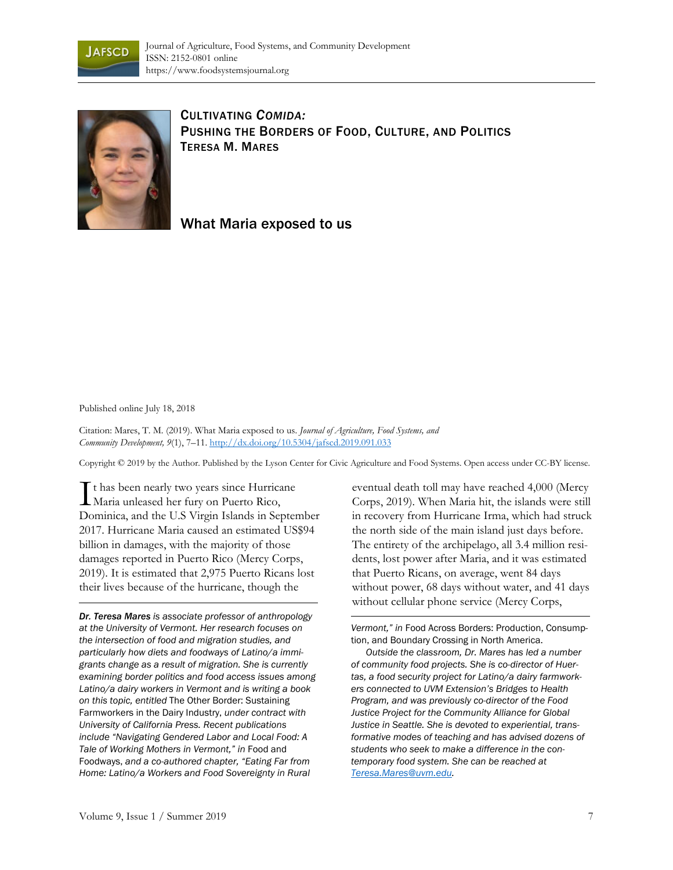



CULTIVATING *COMIDA:* PUSHING THE BORDERS OF FOOD, CULTURE, AND POLITICS TERESA M. MARES

What Maria exposed to us

## Published online July 18, 2018

Citation: Mares, T. M. (2019). What Maria exposed to us. *Journal of Agriculture, Food Systems, and Community Development, 9*(1), 7–11. http://dx.doi.org/10.5304/jafscd.2019.091.033

Copyright © 2019 by the Author. Published by the Lyson Center for Civic Agriculture and Food Systems. Open access under CC-BY license.

It has been nearly two years since Hurricane I thas been nearly two years since Hurrica<br>Maria unleased her fury on Puerto Rico, Dominica, and the U.S Virgin Islands in September 2017. Hurricane Maria caused an estimated US\$94 billion in damages, with the majority of those damages reported in Puerto Rico (Mercy Corps, 2019). It is estimated that 2,975 Puerto Ricans lost their lives because of the hurricane, though the

*Dr. Teresa Mares is associate professor of anthropology at the University of Vermont. Her research focuses on the intersection of food and migration studies, and particularly how diets and foodways of Latino/a immigrants change as a result of migration. She is currently examining border politics and food access issues among Latino/a dairy workers in Vermont and is writing a book on this topic, entitled* The Other Border: Sustaining Farmworkers in the Dairy Industry, *under contract with University of California Press. Recent publications include "Navigating Gendered Labor and Local Food: A Tale of Working Mothers in Vermont," in* Food and Foodways, *and a co-authored chapter, "Eating Far from Home: Latino/a Workers and Food Sovereignty in Rural* 

eventual death toll may have reached 4,000 (Mercy Corps, 2019). When Maria hit, the islands were still in recovery from Hurricane Irma, which had struck the north side of the main island just days before. The entirety of the archipelago, all 3.4 million residents, lost power after Maria, and it was estimated that Puerto Ricans, on average, went 84 days without power, 68 days without water, and 41 days without cellular phone service (Mercy Corps,

*Vermont," in* Food Across Borders: Production, Consumption, and Boundary Crossing in North America.

 *Outside the classroom, Dr. Mares has led a number of community food projects. She is co-director of Huertas, a food security project for Latino/a dairy farmworkers connected to UVM Extension's Bridges to Health Program, and was previously co-director of the Food Justice Project for the Community Alliance for Global Justice in Seattle. She is devoted to experiential, transformative modes of teaching and has advised dozens of students who seek to make a difference in the contemporary food system. She can be reached at Teresa.Mares@uvm.edu.*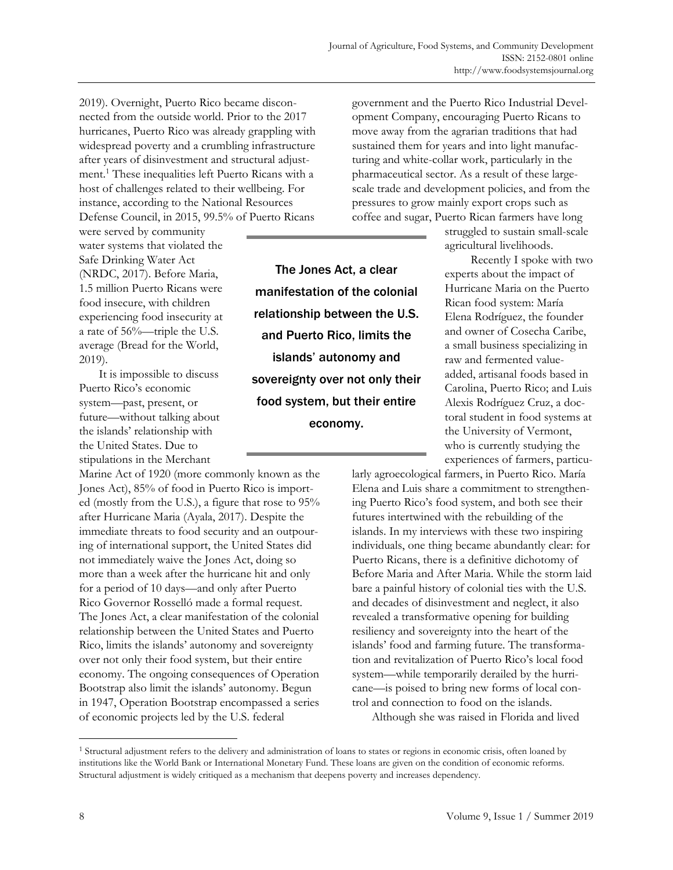2019). Overnight, Puerto Rico became disconnected from the outside world. Prior to the 2017 hurricanes, Puerto Rico was already grappling with widespread poverty and a crumbling infrastructure after years of disinvestment and structural adjustment.1 These inequalities left Puerto Ricans with a host of challenges related to their wellbeing. For instance, according to the National Resources Defense Council, in 2015, 99.5% of Puerto Ricans

were served by community water systems that violated the Safe Drinking Water Act (NRDC, 2017). Before Maria, 1.5 million Puerto Ricans were food insecure, with children experiencing food insecurity at a rate of 56%—triple the U.S. average (Bread for the World, 2019).

 It is impossible to discuss Puerto Rico's economic system—past, present, or future—without talking about the islands' relationship with the United States. Due to stipulations in the Merchant

Marine Act of 1920 (more commonly known as the Jones Act), 85% of food in Puerto Rico is imported (mostly from the U.S.), a figure that rose to 95% after Hurricane Maria (Ayala, 2017). Despite the immediate threats to food security and an outpouring of international support, the United States did not immediately waive the Jones Act, doing so more than a week after the hurricane hit and only for a period of 10 days—and only after Puerto Rico Governor Rosselló made a formal request. The Jones Act, a clear manifestation of the colonial relationship between the United States and Puerto Rico, limits the islands' autonomy and sovereignty over not only their food system, but their entire economy. The ongoing consequences of Operation Bootstrap also limit the islands' autonomy. Begun in 1947, Operation Bootstrap encompassed a series of economic projects led by the U.S. federal

The Jones Act, a clear manifestation of the colonial relationship between the U.S. and Puerto Rico, limits the islands' autonomy and sovereignty over not only their food system, but their entire economy.

government and the Puerto Rico Industrial Development Company, encouraging Puerto Ricans to move away from the agrarian traditions that had sustained them for years and into light manufacturing and white-collar work, particularly in the pharmaceutical sector. As a result of these largescale trade and development policies, and from the pressures to grow mainly export crops such as coffee and sugar, Puerto Rican farmers have long

> struggled to sustain small-scale agricultural livelihoods.

 Recently I spoke with two experts about the impact of Hurricane Maria on the Puerto Rican food system: María Elena Rodríguez, the founder and owner of Cosecha Caribe, a small business specializing in raw and fermented valueadded, artisanal foods based in Carolina, Puerto Rico; and Luis Alexis Rodríguez Cruz, a doctoral student in food systems at the University of Vermont, who is currently studying the experiences of farmers, particu-

larly agroecological farmers, in Puerto Rico. María Elena and Luis share a commitment to strengthening Puerto Rico's food system, and both see their futures intertwined with the rebuilding of the islands. In my interviews with these two inspiring individuals, one thing became abundantly clear: for Puerto Ricans, there is a definitive dichotomy of Before Maria and After Maria. While the storm laid bare a painful history of colonial ties with the U.S. and decades of disinvestment and neglect, it also revealed a transformative opening for building resiliency and sovereignty into the heart of the islands' food and farming future. The transformation and revitalization of Puerto Rico's local food system—while temporarily derailed by the hurricane—is poised to bring new forms of local control and connection to food on the islands.

Although she was raised in Florida and lived

<sup>&</sup>lt;sup>1</sup> Structural adjustment refers to the delivery and administration of loans to states or regions in economic crisis, often loaned by institutions like the World Bank or International Monetary Fund. These loans are given on the condition of economic reforms. Structural adjustment is widely critiqued as a mechanism that deepens poverty and increases dependency.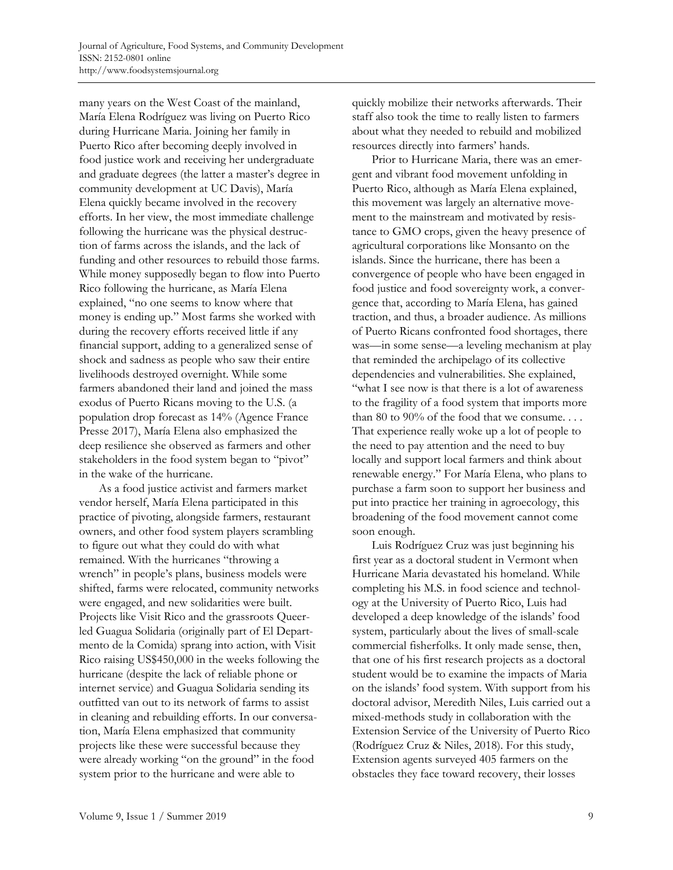many years on the West Coast of the mainland, María Elena Rodríguez was living on Puerto Rico during Hurricane Maria. Joining her family in Puerto Rico after becoming deeply involved in food justice work and receiving her undergraduate and graduate degrees (the latter a master's degree in community development at UC Davis), María Elena quickly became involved in the recovery efforts. In her view, the most immediate challenge following the hurricane was the physical destruction of farms across the islands, and the lack of funding and other resources to rebuild those farms. While money supposedly began to flow into Puerto Rico following the hurricane, as María Elena explained, "no one seems to know where that money is ending up." Most farms she worked with during the recovery efforts received little if any financial support, adding to a generalized sense of shock and sadness as people who saw their entire livelihoods destroyed overnight. While some farmers abandoned their land and joined the mass exodus of Puerto Ricans moving to the U.S. (a population drop forecast as 14% (Agence France Presse 2017), María Elena also emphasized the deep resilience she observed as farmers and other stakeholders in the food system began to "pivot" in the wake of the hurricane.

 As a food justice activist and farmers market vendor herself, María Elena participated in this practice of pivoting, alongside farmers, restaurant owners, and other food system players scrambling to figure out what they could do with what remained. With the hurricanes "throwing a wrench" in people's plans, business models were shifted, farms were relocated, community networks were engaged, and new solidarities were built. Projects like Visit Rico and the grassroots Queerled Guagua Solidaria (originally part of El Departmento de la Comida) sprang into action, with Visit Rico raising US\$450,000 in the weeks following the hurricane (despite the lack of reliable phone or internet service) and Guagua Solidaria sending its outfitted van out to its network of farms to assist in cleaning and rebuilding efforts. In our conversation, María Elena emphasized that community projects like these were successful because they were already working "on the ground" in the food system prior to the hurricane and were able to

quickly mobilize their networks afterwards. Their staff also took the time to really listen to farmers about what they needed to rebuild and mobilized resources directly into farmers' hands.

 Prior to Hurricane Maria, there was an emergent and vibrant food movement unfolding in Puerto Rico, although as María Elena explained, this movement was largely an alternative movement to the mainstream and motivated by resistance to GMO crops, given the heavy presence of agricultural corporations like Monsanto on the islands. Since the hurricane, there has been a convergence of people who have been engaged in food justice and food sovereignty work, a convergence that, according to María Elena, has gained traction, and thus, a broader audience. As millions of Puerto Ricans confronted food shortages, there was—in some sense—a leveling mechanism at play that reminded the archipelago of its collective dependencies and vulnerabilities. She explained, "what I see now is that there is a lot of awareness to the fragility of a food system that imports more than 80 to 90% of the food that we consume.... That experience really woke up a lot of people to the need to pay attention and the need to buy locally and support local farmers and think about renewable energy." For María Elena, who plans to purchase a farm soon to support her business and put into practice her training in agroecology, this broadening of the food movement cannot come soon enough.

 Luis Rodríguez Cruz was just beginning his first year as a doctoral student in Vermont when Hurricane Maria devastated his homeland. While completing his M.S. in food science and technology at the University of Puerto Rico, Luis had developed a deep knowledge of the islands' food system, particularly about the lives of small-scale commercial fisherfolks. It only made sense, then, that one of his first research projects as a doctoral student would be to examine the impacts of Maria on the islands' food system. With support from his doctoral advisor, Meredith Niles, Luis carried out a mixed-methods study in collaboration with the Extension Service of the University of Puerto Rico (Rodríguez Cruz & Niles, 2018). For this study, Extension agents surveyed 405 farmers on the obstacles they face toward recovery, their losses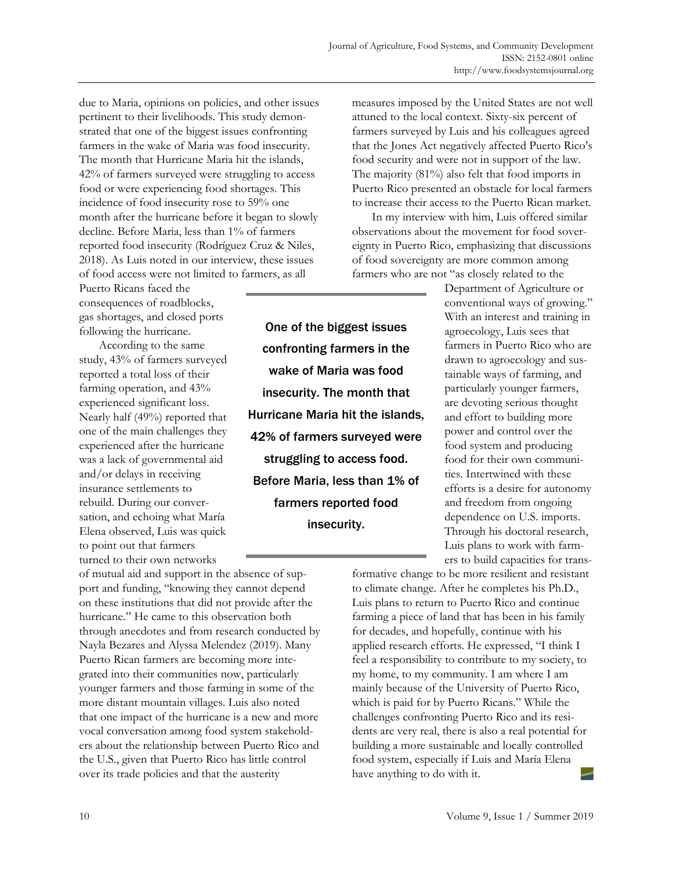due to Maria, opinions on policies, and other issues pertinent to their livelihoods. This study demonstrated that one of the biggest issues confronting farmers in the wake of Maria was food insecurity. The month that Hurricane Maria hit the islands, 42% of farmers surveyed were struggling to access food or were experiencing food shortages. This incidence of food insecurity rose to 59% one month after the hurricane before it began to slowly decline. Before Maria, less than 1% of farmers reported food insecurity (Rodríguez Cruz & Niles, 2018). As Luis noted in our interview, these issues of food access were not limited to farmers, as all

Puerto Ricans faced the consequences of roadblocks, gas shortages, and closed ports following the hurricane.

 According to the same study, 43% of farmers surveyed reported a total loss of their farming operation, and 43% experienced significant loss. Nearly half (49%) reported that one of the main challenges they experienced after the hurricane was a lack of governmental aid and/or delays in receiving insurance settlements to rebuild. During our conversation, and echoing what María Elena observed, Luis was quick to point out that farmers turned to their own networks

of mutual aid and support in the absence of support and funding, "knowing they cannot depend on these institutions that did not provide after the hurricane." He came to this observation both through anecdotes and from research conducted by Nayla Bezares and Alyssa Melendez (2019). Many Puerto Rican farmers are becoming more integrated into their communities now, particularly younger farmers and those farming in some of the more distant mountain villages. Luis also noted that one impact of the hurricane is a new and more vocal conversation among food system stakeholders about the relationship between Puerto Rico and the U.S., given that Puerto Rico has little control over its trade policies and that the austerity

One of the biggest issues confronting farmers in the wake of Maria was food insecurity. The month that Hurricane Maria hit the islands, 42% of farmers surveyed were struggling to access food. Before Maria, less than 1% of farmers reported food insecurity.

measures imposed by the United States are not well attuned to the local context. Sixty-six percent of farmers surveyed by Luis and his colleagues agreed that the Jones Act negatively affected Puerto Rico's food security and were not in support of the law. The majority (81%) also felt that food imports in Puerto Rico presented an obstacle for local farmers to increase their access to the Puerto Rican market.

 In my interview with him, Luis offered similar observations about the movement for food sovereignty in Puerto Rico, emphasizing that discussions of food sovereignty are more common among farmers who are not "as closely related to the

> Department of Agriculture or conventional ways of growing." With an interest and training in agroecology, Luis sees that farmers in Puerto Rico who are drawn to agroecology and sustainable ways of farming, and particularly younger farmers, are devoting serious thought and effort to building more power and control over the food system and producing food for their own communities. Intertwined with these efforts is a desire for autonomy and freedom from ongoing dependence on U.S. imports. Through his doctoral research, Luis plans to work with farmers to build capacities for trans-

formative change to be more resilient and resistant to climate change. After he completes his Ph.D., Luis plans to return to Puerto Rico and continue farming a piece of land that has been in his family for decades, and hopefully, continue with his applied research efforts. He expressed, "I think I feel a responsibility to contribute to my society, to my home, to my community. I am where I am mainly because of the University of Puerto Rico, which is paid for by Puerto Ricans." While the challenges confronting Puerto Rico and its residents are very real, there is also a real potential for building a more sustainable and locally controlled food system, especially if Luis and María Elena have anything to do with it.